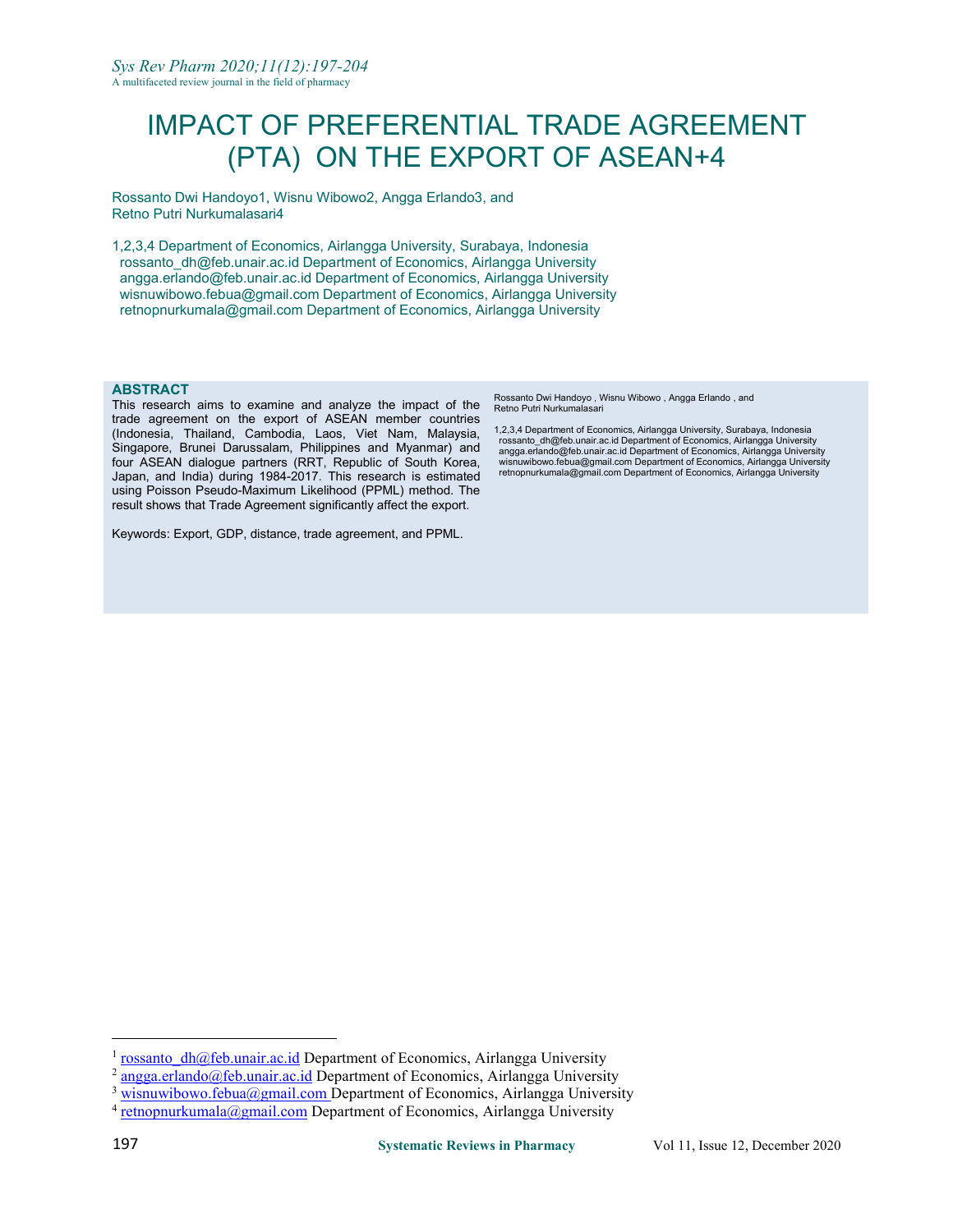# IMPACT OF PREFERENTIAL TRADE AGREEMENT (PTA) ON THE EXPORT OF ASEAN+4

Rossanto Dwi Handoy[o1](#page-0-0), Wisnu Wibowo[2,](#page-0-1) Angga Erland[o3](#page-0-2), and Retno Putri Nurkumalasari[4](#page-0-3)

1,2,3,4 Department of Economics, Airlangga University, Surabaya, Indonesia rossanto\_dh@feb.unair.ac.id Department of Economics, Airlangga University angga.erlando@feb.unair.ac.id Department of Economics, Airlangga University wisnuwibowo.febua@gmail.com Department of Economics, Airlangga University retnopnurkumala@gmail.com Department of Economics, Airlangga University

#### **ABSTRACT**

This research aims to examine and analyze the impact of the trade agreement on the export of ASEAN member countries (Indonesia, Thailand, Cambodia, Laos, Viet Nam, Malaysia, Singapore, Brunei Darussalam, Philippines and Myanmar) and four ASEAN dialogue partners (RRT, Republic of South Korea, Japan, and India) during 1984-2017. This research is estimated using Poisson Pseudo-Maximum Likelihood (PPML) method. The result shows that Trade Agreement significantly affect the export.

Keywords: Export, GDP, distance, trade agreement, and PPML.

Rossanto Dwi Handoyo , Wisnu Wibowo , Angga Erlando , and Retno Putri Nurkumalasari

1,2,3,4 Department of Economics, Airlangga University, Surabaya, Indonesia rossanto\_dh@feb.unair.ac.id Department of Economics, Airlangga University angga.erlando@feb.unair.ac.id Department of Economics, Airlangga University wisnuwibowo.febua@gmail.com Department of Economics, Airlangga University retnopnurkumala@gmail.com Department of Economics, Airlangga University

<span id="page-0-0"></span> $1$  rossanto  $dh@feb.$ unair.ac.id Department of Economics, Airlangga University

<span id="page-0-1"></span> $^{2}$  [angga.erlando@feb.unair.ac.id](mailto:angga.erlando@feb.unair.ac.id) Department of Economics, Airlangga University

<span id="page-0-2"></span> $3$  [wisnuwibowo.febua@gmail.com](mailto:wisnuwibowo.febua@gmail.com) Department of Economics, Airlangga University

<span id="page-0-3"></span><sup>&</sup>lt;sup>4</sup> [retnopnurkumala@gmail.com](mailto:retnopnurkumala@gmail.com) Department of Economics, Airlangga University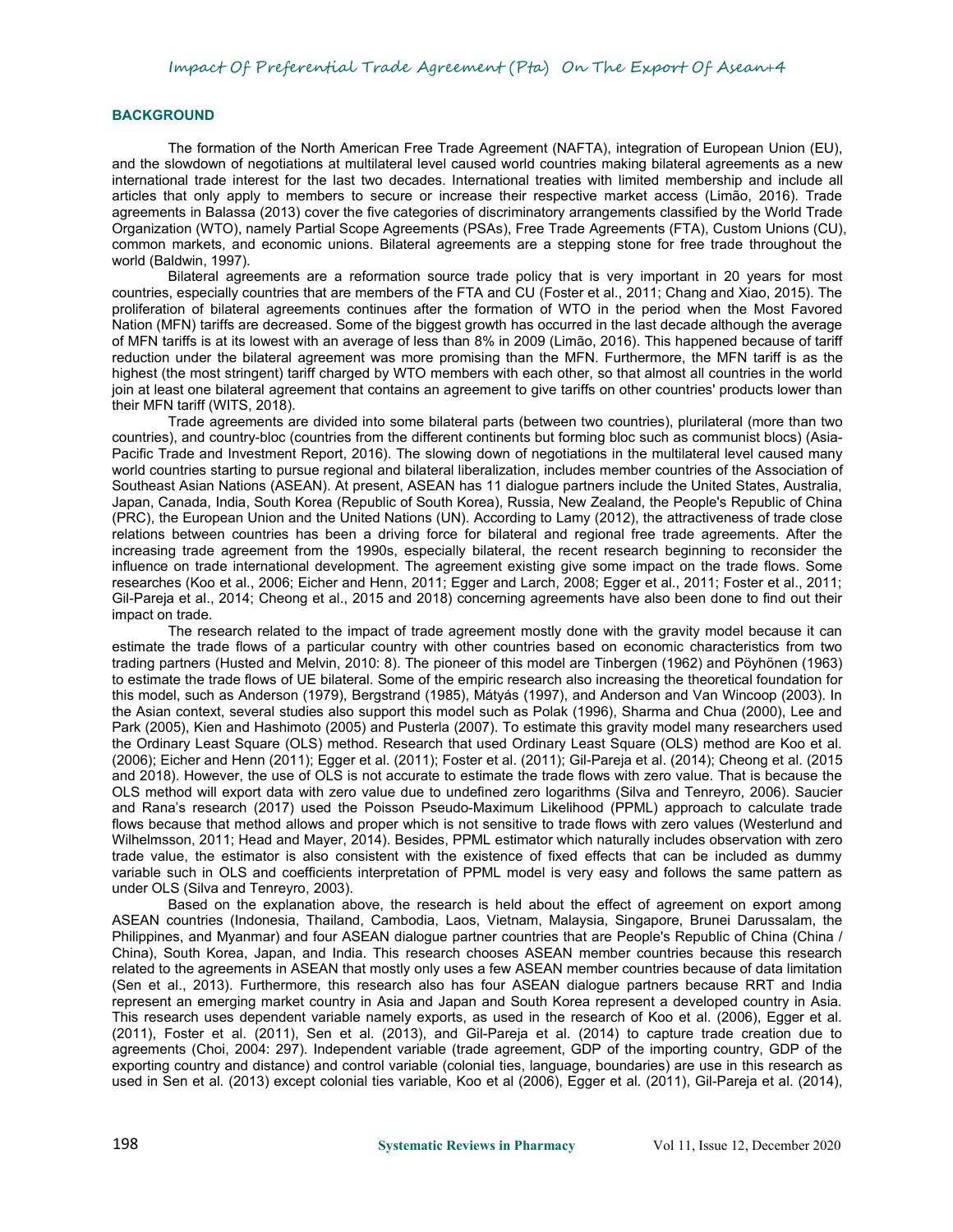## **BACKGROUND**

The formation of the North American Free Trade Agreement (NAFTA), integration of European Union (EU), and the slowdown of negotiations at multilateral level caused world countries making bilateral agreements as a new international trade interest for the last two decades. International treaties with limited membership and include all articles that only apply to members to secure or increase their respective market access (Limão, 2016). Trade agreements in Balassa (2013) cover the five categories of discriminatory arrangements classified by the World Trade Organization (WTO), namely Partial Scope Agreements (PSAs), Free Trade Agreements (FTA), Custom Unions (CU), common markets, and economic unions. Bilateral agreements are a stepping stone for free trade throughout the world (Baldwin, 1997).

Bilateral agreements are a reformation source trade policy that is very important in 20 years for most countries, especially countries that are members of the FTA and CU (Foster et al., 2011; Chang and Xiao, 2015). The proliferation of bilateral agreements continues after the formation of WTO in the period when the Most Favored Nation (MFN) tariffs are decreased. Some of the biggest growth has occurred in the last decade although the average of MFN tariffs is at its lowest with an average of less than 8% in 2009 (Limão, 2016). This happened because of tariff reduction under the bilateral agreement was more promising than the MFN. Furthermore, the MFN tariff is as the highest (the most stringent) tariff charged by WTO members with each other, so that almost all countries in the world join at least one bilateral agreement that contains an agreement to give tariffs on other countries' products lower than their MFN tariff (WITS, 2018).

Trade agreements are divided into some bilateral parts (between two countries), plurilateral (more than two countries), and country-bloc (countries from the different continents but forming bloc such as communist blocs) (Asia- Pacific Trade and Investment Report, 2016). The slowing down of negotiations in the multilateral level caused many world countries starting to pursue regional and bilateral liberalization, includes member countries of the Association of Southeast Asian Nations (ASEAN). At present, ASEAN has 11 dialogue partners include the United States, Australia, Japan, Canada, India, South Korea (Republic of South Korea), Russia, New Zealand, the People's Republic of China (PRC), the European Union and the United Nations (UN). According to Lamy (2012), the attractiveness of trade close relations between countries has been a driving force for bilateral and regional free trade agreements. After the increasing trade agreement from the 1990s, especially bilateral, the recent research beginning to reconsider the influence on trade international development. The agreement existing give some impact on the trade flows. Some researches (Koo et al., 2006; Eicher and Henn, 2011; Egger and Larch, 2008; Egger etal., 2011; Foster et al., 2011; Gil-Pareja et al., 2014; Cheong et al., 2015 and 2018) concerning agreements have also been done to find out their impact on trade.

The research related to the impact of trade agreement mostly done with the gravity model because it can estimate the trade flows of a particular country with other countries based on economic characteristics from two trading partners (Husted and Melvin, 2010: 8). The pioneer of this model are Tinbergen (1962) and Pöyhönen (1963) to estimate the trade flows of UE bilateral. Some of the empiric research also increasing the theoretical foundation for this model, such as Anderson (1979), Bergstrand (1985), Mátyás (1997), and Anderson and Van Wincoop (2003). In the Asian context, several studies also support this model such as Polak (1996), Sharma and Chua (2000), Lee and Park (2005), Kien and Hashimoto (2005) and Pusterla (2007). To estimate this gravity model many researchers used the Ordinary Least Square (OLS) method. Research that used Ordinary Least Square (OLS) method are Koo et al. (2006); Eicher and Henn (2011); Egger et al. (2011); Foster etal. (2011); Gil-Pareja et al. (2014); Cheong et al. (2015 and 2018). However, the use of OLS is not accurate to estimate the trade flows with zero value.Thatis because the OLS method will export data with zero value due to undefined zero logarithms (Silva and Tenreyro, 2006). Saucier and Rana's research (2017) used the Poisson Pseudo-Maximum Likelihood (PPML) approach to calculate trade flows because that method allows and proper which is not sensitive to trade flows with zero values (Westerlund and Wilhelmsson, 2011; Head and Mayer, 2014). Besides, PPML estimator which naturally includes observation with zero trade value, the estimator is also consistent with the existence of fixed effects that can be included as dummy variable such in OLS and coefficients interpretation of PPML model is very easy and follows the same pattern as under OLS (Silva and Tenreyro, 2003).

Based on the explanation above, the research is held about the effect of agreement on export among ASEAN countries (Indonesia, Thailand, Cambodia, Laos, Vietnam, Malaysia, Singapore, Brunei Darussalam, the Philippines, and Myanmar) and four ASEAN dialogue partner countries that are People's Republic of China (China / China), South Korea, Japan, and India. This research chooses ASEAN member countries because this research related to the agreements in ASEAN that mostly only uses a few ASEAN member countries because of data limitation (Sen et al., 2013). Furthermore, this research also has four ASEAN dialogue partners because RRT and India represent an emerging market country in Asia and Japan and South Korea represent a developed country in Asia. This research uses dependent variable namely exports, as used in the research of Koo et al. (2006), Egger et al. (2011), Foster et al. (2011), Sen et al. (2013), and Gil-Pareja et al. (2014) to capture trade creation due to agreements (Choi, 2004: 297). Independent variable (trade agreement, GDP of the importing country, GDP of the exporting country and distance) and control variable (colonial ties, language, boundaries) are use in this research as used in Sen et al. (2013) except colonial ties variable, Koo et al (2006), Egger et al. (2011), Gil-Pareja et al. (2014),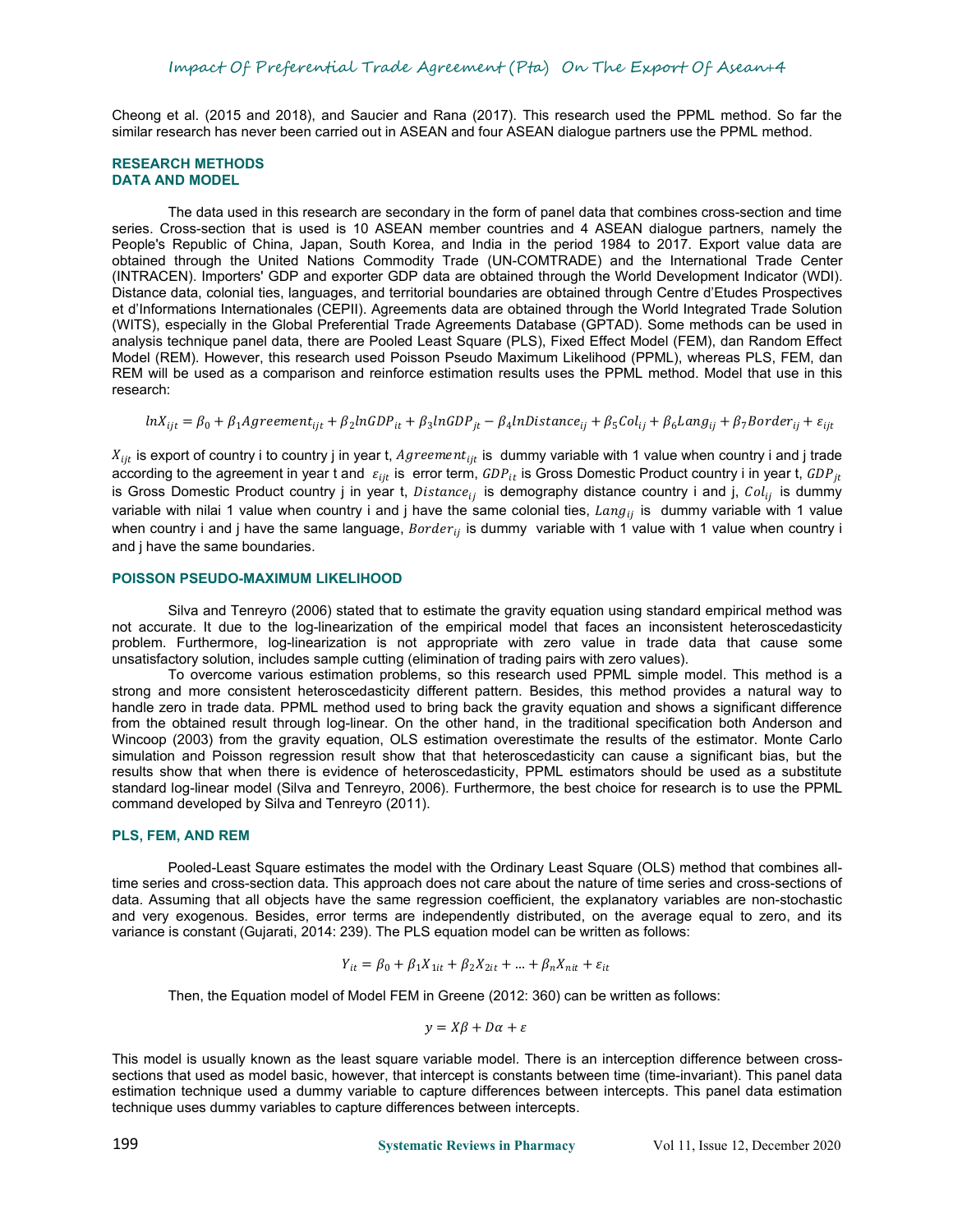Cheong et al. (2015 and 2018), and Saucier and Rana (2017). This research used the PPML method. So far the similar research has never been carried out in ASEAN and four ASEAN dialogue partners use the PPML method.

#### **RESEARCH METHODS DATA AND MODEL**

The data used in this research are secondary in the form of panel data that combines cross-section and time series. Cross-section that is used is 10 ASEAN member countries and 4 ASEAN dialogue partners, namely the People's Republic of China, Japan, South Korea, and India in the period 1984 to 2017. Export value data are obtained through the United Nations Commodity Trade (UN-COMTRADE) and the International Trade Center (INTRACEN). Importers' GDP and exporter GDP data are obtained through the World Development Indicator (WDI). Distance data, colonial ties, languages, and territorial boundaries are obtained through Centre d'Etudes Prospectives et d'Informations Internationales (CEPII). Agreements data are obtained through the World Integrated Trade Solution (WITS), especially in the Global Preferential Trade Agreements Database (GPTAD). Some methods can be used in analysis technique panel data, there are Pooled Least Square (PLS), Fixed Effect Model (FEM), dan Random Effect Model (REM). However, this research used Poisson Pseudo Maximum Likelihood (PPML), whereas PLS, FEM, dan REM will be used as a comparison and reinforce estimation results uses the PPML method. Model that use in this research:

In $x_{ijt} = \beta_0 + \beta_1$ Agreement $_{ijt} + \beta_2$ InGDP $_{it} + \beta_3$ InGDP $_{jt} - \beta_4$ InDistance $_{ij} + \beta_5$ Col $_{ij} + \beta_6$ Lang $_{ij} + \beta_7$ Border $_{ij} + \varepsilon_{ijt}$ 

 $X_{ijt}$  is export of country i to country j in year t,  $Agreement_{ijt}$  is  $\,$  dummy variable with 1 value when country i and j trade according to the agreement in year t and  $\,\varepsilon_{ijt}$  is error term,  $GDP_{it}$  is Gross Domestic Product country i in year t,  $GDP_{jt}$ is Gross Domestic Product country j in year t,  $Distance_{ij}$  is demography distance country i and j,  $Col_{ij}$  is dummy variable with nilai 1 value when country i and j have the same colonial ties,  $\it{Lang}_{ij}$  is  $\it$  dummy variable with 1 value when country i and j have the same language,  $\emph{Border}_{ij}$  is dummy  $\emph{~variable}$  with 1 value with 1 value when country i and j have the same boundaries.

#### **POISSON PSEUDO-MAXIMUM LIKELIHOOD**

Silva and Tenreyro (2006) stated that to estimate the gravity equation using standard empirical method was not accurate. It due to the log-linearization of the empirical model that faces an inconsistent heteroscedasticity problem. Furthermore, log-linearization is not appropriate with zero value in trade data that cause some unsatisfactory solution, includes sample cutting (elimination of trading pairs with zero values).

To overcome various estimation problems, so this research used PPML simple model. This method is a strong and more consistent heteroscedasticity different pattern. Besides, this method provides a natural way to handle zero in trade data. PPML method used to bring back the gravity equation and shows a significant difference from the obtained result through log-linear. On the other hand, in the traditional specification both Anderson and Wincoop (2003) from the gravity equation, OLS estimation overestimate the results of the estimator. Monte Carlo simulation and Poisson regression result show that that heteroscedasticity can cause a significant bias, but the results show that when there is evidence of heteroscedasticity, PPML estimators should be used as a substitute standard log-linear model (Silva and Tenreyro, 2006). Furthermore, the best choice for research is to use the PPML command developed by Silva and Tenreyro (2011).

#### **PLS, FEM, AND REM**

Pooled-Least Square estimates the model with the Ordinary Least Square (OLS) method that combines alltime series and cross-section data. This approach does not care about the nature of time series and cross-sections of data. Assuming that all objects have the same regression coefficient, the explanatory variables are non-stochastic and very exogenous. Besides, error terms are independently distributed, on the average equal to zero, and its variance is constant (Gujarati, 2014: 239). The PLS equation model can be written as follows:

$$
Y_{it} = \beta_0 + \beta_1 X_{1it} + \beta_2 X_{2it} + \dots + \beta_n X_{nit} + \varepsilon_{it}
$$

Then, the Equation model of Model FEM in Greene (2012: 360) can be written as follows:

$$
y = X\beta + D\alpha + \varepsilon
$$

This model is usually known as the least square variable model. There is an interception difference between crosssections that used as model basic, however, that intercept is constants between time (time-invariant). This panel data estimation technique used a dummy variable to capture differences between intercepts. This panel data estimation technique uses dummy variables to capture differences between intercepts.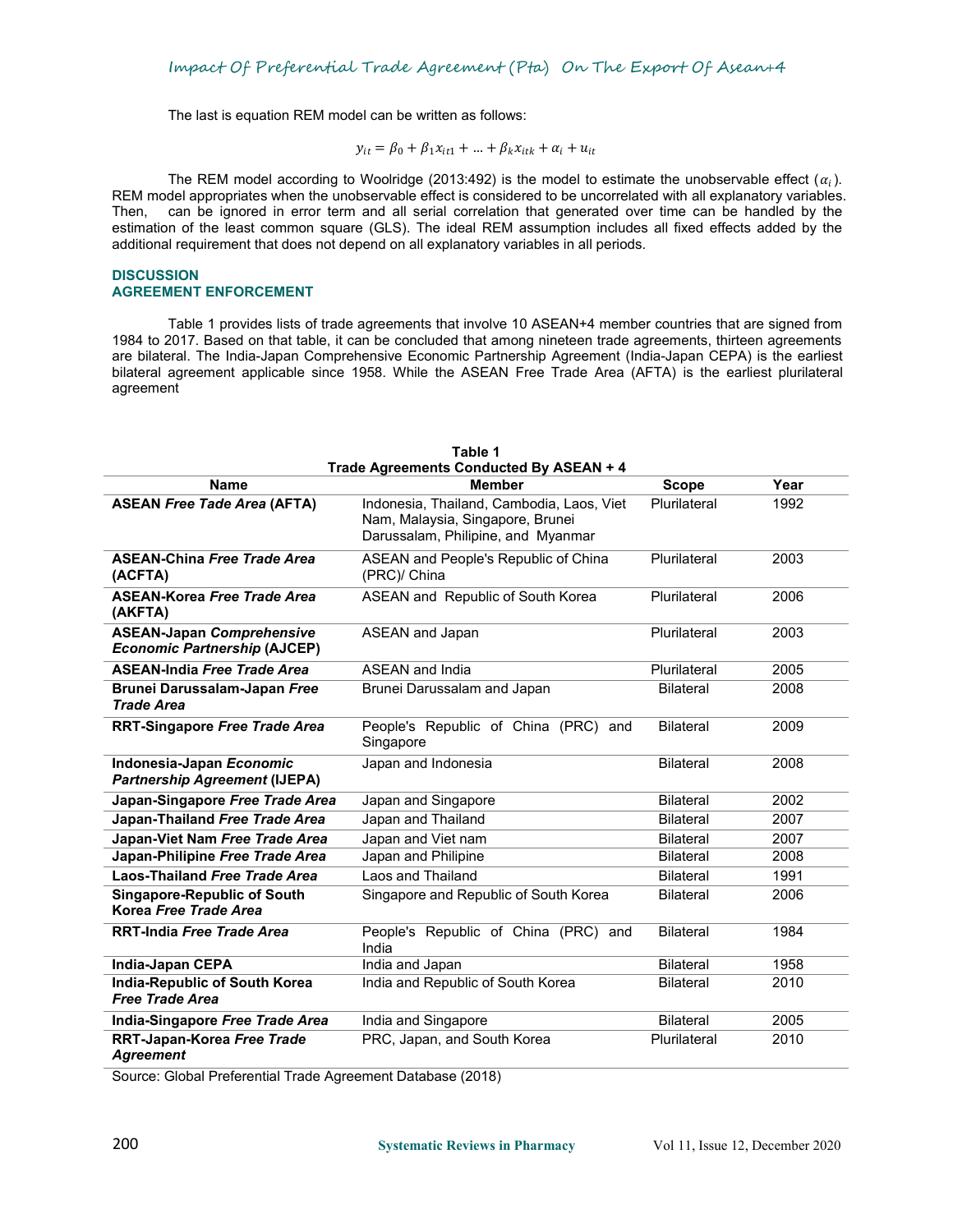The last is equation REM model can be written as follows:

$$
y_{it} = \beta_0 + \beta_1 x_{it1} + \dots + \beta_k x_{itk} + \alpha_i + u_{it}
$$

The REM model according to Woolridge (2013:492) is the model to estimate the unobservable effect  $(\alpha_i)$ .<br>REM model appropriates when the unobservable effect is considered to be uncorrelated with all explanatory variables. Then, can be ignored in error term and all serial correlation that generated over time can be handled by the estimation of the least common square (GLS). The ideal REM assumption includes all fixed effects added by the additional requirement that does not depend on all explanatory variables in all periods.

## **DISCUSSION AGREEMENT ENFORCEMENT**

Table 1 provides lists of trade agreements that involve 10 ASEAN+4 member countries that are signed from 1984 to 2017. Based on that table, it can be concluded that among nineteen trade agreements, thirteen agreements are bilateral. The India-Japan Comprehensive Economic Partnership Agreement(India-Japan CEPA) is the earliest bilateral agreement applicable since 1958. While the ASEAN Free Trade Area (AFTA) is the earliest plurilateral agreement

| <b>Name</b>                                                             | Trade Agreements Conducted By ASEAN + 4<br><b>Member</b>                                                            | <b>Scope</b>     | Year |
|-------------------------------------------------------------------------|---------------------------------------------------------------------------------------------------------------------|------------------|------|
| <b>ASEAN Free Tade Area (AFTA)</b>                                      | Indonesia, Thailand, Cambodia, Laos, Viet<br>Nam, Malaysia, Singapore, Brunei<br>Darussalam, Philipine, and Myanmar | Plurilateral     | 1992 |
| <b>ASEAN-China Free Trade Area</b><br>(ACFTA)                           | ASEAN and People's Republic of China<br>(PRC)/ China                                                                | Plurilateral     | 2003 |
| <b>ASEAN-Korea Free Trade Area</b><br>(AKFTA)                           | ASEAN and Republic of South Korea                                                                                   | Plurilateral     | 2006 |
| <b>ASEAN-Japan Comprehensive</b><br><b>Economic Partnership (AJCEP)</b> | <b>ASEAN and Japan</b>                                                                                              | Plurilateral     | 2003 |
| <b>ASEAN-India Free Trade Area</b>                                      | <b>ASEAN</b> and India                                                                                              | Plurilateral     | 2005 |
| Brunei Darussalam-Japan Free<br><b>Trade Area</b>                       | Brunei Darussalam and Japan                                                                                         | <b>Bilateral</b> | 2008 |
| <b>RRT-Singapore Free Trade Area</b>                                    | People's Republic of China (PRC) and<br>Singapore                                                                   | <b>Bilateral</b> | 2009 |
| Indonesia-Japan Economic<br><b>Partnership Agreement (IJEPA)</b>        | Japan and Indonesia                                                                                                 | <b>Bilateral</b> | 2008 |
| Japan-Singapore Free Trade Area                                         | Japan and Singapore                                                                                                 | <b>Bilateral</b> | 2002 |
| Japan-Thailand Free Trade Area                                          | Japan and Thailand                                                                                                  | <b>Bilateral</b> | 2007 |
| Japan-Viet Nam Free Trade Area                                          | Japan and Viet nam                                                                                                  | <b>Bilateral</b> | 2007 |
| Japan-Philipine Free Trade Area                                         | Japan and Philipine                                                                                                 | <b>Bilateral</b> | 2008 |
| Laos-Thailand Free Trade Area                                           | Laos and Thailand                                                                                                   | <b>Bilateral</b> | 1991 |
| <b>Singapore-Republic of South</b><br>Korea Free Trade Area             | Singapore and Republic of South Korea                                                                               | <b>Bilateral</b> | 2006 |
| <b>RRT-India Free Trade Area</b>                                        | People's Republic of China (PRC) and<br>India                                                                       | <b>Bilateral</b> | 1984 |
| India-Japan CEPA                                                        | India and Japan                                                                                                     | <b>Bilateral</b> | 1958 |
| <b>India-Republic of South Korea</b><br><b>Free Trade Area</b>          | India and Republic of South Korea                                                                                   | <b>Bilateral</b> | 2010 |
| India-Singapore Free Trade Area                                         | India and Singapore                                                                                                 | <b>Bilateral</b> | 2005 |
| RRT-Japan-Korea Free Trade<br><b>Agreement</b>                          | PRC, Japan, and South Korea                                                                                         | Plurilateral     | 2010 |

Source: Global Preferential Trade Agreement Database (2018)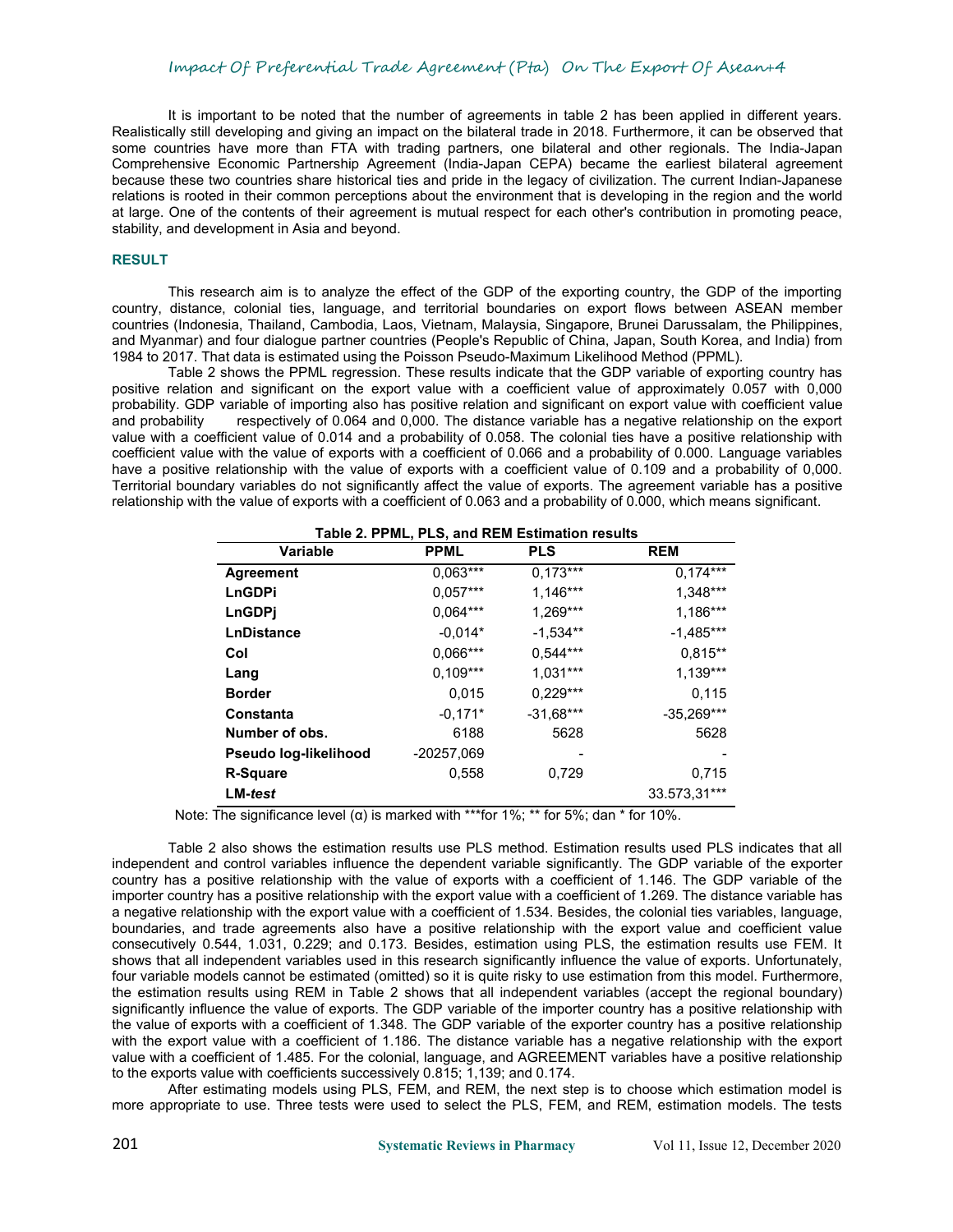It is important to be noted that the number of agreements in table 2 has been applied in different vears. Realistically still developing and giving an impact on the bilateral trade in 2018. Furthermore, it can be observed that some countries have more than FTA with trading partners, one bilateral and other regionals. The India-Japan Comprehensive Economic Partnership Agreement (India-Japan CEPA) became the earliest bilateral agreement because these two countries share historical ties and pride in the legacy of civilization. The current Indian-Japanese relations is rooted in their common perceptions about the environment that is developing in the region and the world at large. One of the contents of their agreement is mutual respect for each other's contribution in promoting peace, stability, and development in Asia and beyond.

## **RESULT**

This research aim is to analyze the effect of the GDP of the exporting country, the GDP of the importing country, distance, colonial ties, language, and territorial boundaries on export flows between ASEAN member countries (Indonesia, Thailand, Cambodia, Laos, Vietnam, Malaysia, Singapore, Brunei Darussalam, the Philippines, and Myanmar) and four dialogue partner countries (People's Republic of China, Japan, South Korea, and India) from 1984 to 2017. That data is estimated using the Poisson Pseudo-Maximum Likelihood Method (PPML).

Table 2 shows the PPML regression. These results indicate that the GDP variable of exporting country has positive relation and significant on the export value with a coefficient value of approximately 0.057 with 0,000 probability. GDP variable of importing also has positive relation and significant on export value with coefficient value<br>and probability respectively of 0.064 and 0,000. The distance variable has a negative relationship on respectively of 0.064 and 0,000. The distance variable has a negative relationship on the export value with a coefficient value of 0.014 and a probability of 0.058. The colonial ties have a positive relationship with coefficient value with the value of exports with a coefficient of 0.066 and a probability of 0.000. Language variables have a positive relationship with the value of exports with a coefficient value of 0.109 and a probability of 0,000. Territorial boundary variables do not significantly affect the value of exports. The agreement variable has a positive relationship with the value of exports with a coefficient of 0.063 and a probability of 0.000, which means significant.

| Table 2. PPML, PLS, and REM Estimation results |             |             |              |  |
|------------------------------------------------|-------------|-------------|--------------|--|
| <b>Variable</b>                                | <b>PPML</b> | <b>PLS</b>  | <b>REM</b>   |  |
| Agreement                                      | $0.063***$  | $0.173***$  | $0,174***$   |  |
| <b>LnGDPi</b>                                  | $0,057***$  | $1,146***$  | 1,348***     |  |
| <b>LnGDPi</b>                                  | $0.064***$  | $1.269***$  | $1.186***$   |  |
| <b>LnDistance</b>                              | $-0.014*$   | $-1.534**$  | $-1,485***$  |  |
| Col                                            | $0.066***$  | $0,544***$  | $0.815**$    |  |
| Lang                                           | $0.109***$  | $1,031***$  | $1.139***$   |  |
| <b>Border</b>                                  | 0.015       | $0.229***$  | 0.115        |  |
| <b>Constanta</b>                               | $-0.171*$   | $-31,68***$ | $-35,269***$ |  |
| Number of obs.                                 | 6188        | 5628        | 5628         |  |
| Pseudo log-likelihood                          | -20257,069  |             |              |  |
| <b>R-Square</b>                                | 0,558       | 0,729       | 0.715        |  |
| $LM-test$                                      |             |             | 33.573,31*** |  |

Note: The significance level (α) is marked with \*\*\* for 1%; \*\* for 5%; dan \* for 10%.

Table 2 also shows the estimation results use PLS method. Estimation results used PLS indicates that all independent and control variables influence the dependent variable significantly. The GDP variable of the exporter country has a positive relationship with the value of exports with a coefficient of 1.146. The GDP variable of the importer country has a positive relationship with the export value with a coefficient of 1.269. The distance variable has a negative relationship with the export value with a coefficient of 1.534. Besides, the colonial ties variables, language, boundaries, and trade agreements also have a positive relationship with the export value and coefficient value consecutively 0.544, 1.031, 0.229; and 0.173. Besides, estimation using PLS, the estimation results use FEM. It shows that all independent variables used in this research significantly influence the value of exports. Unfortunately, four variable models cannot be estimated (omitted) so it is quite risky to use estimation from this model. Furthermore, the estimation results using REM in Table 2 shows that all independent variables (accept the regional boundary) significantly influence the value of exports. The GDP variable of the importer country has a positive relationship with the value of exports with a coefficient of 1.348. The GDP variable of the exporter country has a positive relationship with the export value with a coefficient of 1.186. The distance variable has a negative relationship with the export value with a coefficient of 1.485. For the colonial, language, and AGREEMENT variables have a positive relationship to the exports value with coefficients successively 0.815; 1,139; and 0.174.

.<br>After estimating models using PLS, FEM, and REM, the next step is to choose which estimation model is more appropriate to use. Three tests were used to select the PLS, FEM, and REM, estimation models. The tests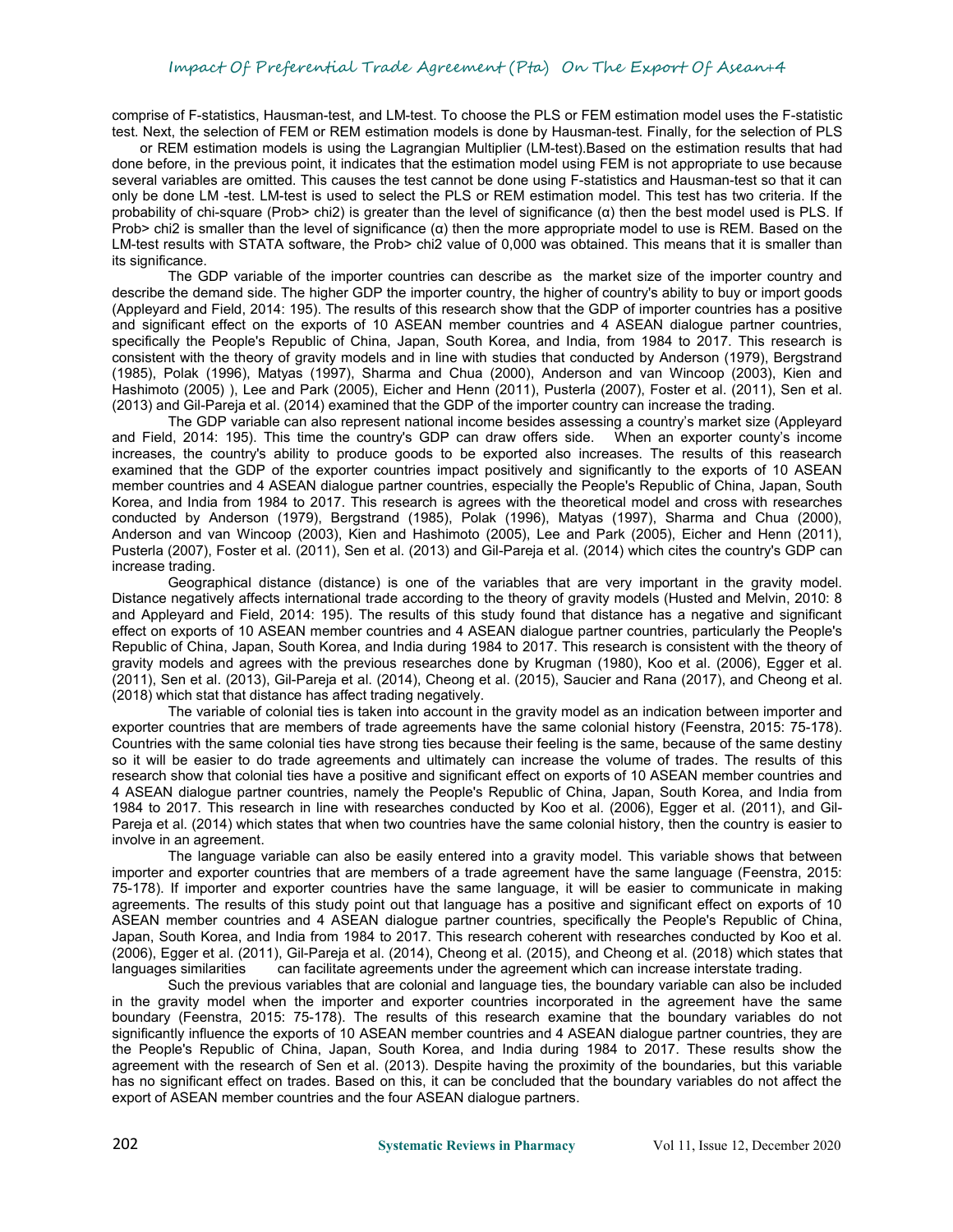comprise of F-statistics, Hausman-test, and LM-test. To choose the PLS or FEM estimation model uses the F-statistic test. Next, the selection of FEM or REM estimation models is done by Hausman-test. Finally, for the selection of PLS

or REM estimation models is using the Lagrangian Multiplier (LM-test).Based on the estimation results that had done before, in the previous point, it indicates that the estimation model using FEM is not appropriate to use because several variables are omitted. This causes the test cannot be done using F-statistics and Hausman-test so that it can only be done LM -test. LM-test is used to select the PLS or REM estimation model. This test has two criteria. If the probability of chi-square (Prob> chi2) is greater than the level of significance  $(α)$  then the best model used is PLS. If Prob> chi2 is smaller than the level of significance ( $\alpha$ ) then the more appropriate model to use is REM. Based on the LM-test results with STATA software, the Prob> chi2 value of 0,000 was obtained. This means that it is smaller than its significance.

The GDP variable of the importer countries can describe as the market size of the importer country and describe the demand side. The higher GDP the importer country, the higher of country's ability to buy or import goods (Appleyard and Field, 2014: 195). The results of this research show that the GDP of importer countries has a positive and significant effect on the exports of 10 ASEAN member countries and 4 ASEAN dialogue partner countries, specifically the People's Republic of China, Japan, South Korea, and India, from 1984 to 2017. This research is consistent with the theory of gravity models and in line with studies that conducted by Anderson (1979), Bergstrand (1985), Polak (1996), Matyas (1997), Sharma and Chua (2000), Anderson and van Wincoop (2003), Kien and Hashimoto (2005) ), Lee and Park (2005), Eicher and Henn (2011), Pusterla (2007), Foster et al. (2011), Sen et al. (2013) and Gil-Pareja et al. (2014) examined that the GDP of the importer country can increase the trading.<br>The GDP variable can also represent national income besides assessing a country's market size (Appleyard

and Field, 2014: 195). This time the country's GDP candraw offers side. When an exporter county's income increases, the country's ability to produce goods to be exported also increases. The results of this reasearch examined that the GDP of the exporter countries impact positively and significantly to the exports of 10 ASEAN member countries and 4 ASEAN dialogue partner countries, especially the People's Republic of China, Japan, South Korea, and India from 1984 to 2017. This research is agrees with the theoretical model and cross with researches conducted by Anderson (1979), Bergstrand (1985), Polak (1996), Matyas (1997), Sharma and Chua (2000), Anderson and van Wincoop (2003), Kien and Hashimoto (2005), Lee and Park (2005), Eicher and Henn (2011), Pusterla (2007), Foster etal. (2011), Sen et al. (2013) and Gil-Pareja et al. (2014) which cites the country's GDP can increase trading.

Geographical distance (distance) is one of the variables that are very important in the gravity model. Distance negatively affects international trade according to the theory of gravity models (Husted and Melvin, 2010: 8 and Appleyard and Field, 2014: 195). The results of this study found that distance has a negative and significant effect on exports of 10 ASEAN member countries and 4 ASEAN dialogue partner countries, particularly the People's Republic of China, Japan, South Korea, and India during 1984 to 2017. This research isconsistent with the theory of gravity models and agrees with the previous researches done by Krugman (1980), Koo et al. (2006), Egger et al. (2011), Sen et al. (2013), Gil-Pareja et al. (2014), Cheong et al. (2015), Saucier and Rana (2017), and Cheong et al. (2018) which stat that distance has affect trading negatively.

The variable of colonial ties is taken into account in the gravity model as an indication between importer and exporter countries that are members of trade agreements have the same colonial history (Feenstra, 2015: 75-178). Countries with the same colonial ties have strong ties because their feeling is the same, because of the same destiny so it will be easier to do trade agreements and ultimately can increase the volume of trades. The results of this research show that colonial ties have a positive and significant effect on exports of 10 ASEAN member countries and 4 ASEAN dialogue partner countries, namely the People's Republic of China, Japan, South Korea, and India from 1984 to 2017. This research in line with researches conducted by Koo et al. (2006), Egger et al. (2011), and Gil- Pareja et al. (2014) which states that when two countries have the same colonial history, then the country is easier to involve in an agreement.<br>The language variable can also be easily entered into a gravity model. This variable shows that between

importer and exporter countries that are members of a trade agreement have the same language (Feenstra, 2015: 75-178). If importer and exporter countries have the same language, it will be easier to communicate in making agreements. The results of this study point out that language has a positive and significant effect on exports of 10 ASEAN member countries and 4 ASEAN dialogue partner countries, specifically the People's Republic of China, Japan, South Korea, and India from 1984 to 2017. This research coherent with researches conducted by Koo et al. (2006), Egger et al. (2011), Gil-Pareja et al. (2014), Cheong et al. (2015), and Cheong et al. (2018) which states that languages similarities can facilitate agreements under the agreement which can increase interstate trading.

Such the previous variables that are colonial and language ties, the boundary variable can also be included in the gravity model when the importer and exporter countries incorporated in the agreement have the same boundary (Feenstra, 2015: 75-178). The results of this research examine that the boundary variables do not significantly influence the exports of 10 ASEAN member countries and 4 ASEAN dialogue partner countries, they are the People's Republic of China, Japan, South Korea, and India during 1984 to 2017. These results show the agreement with the research of Sen et al. (2013). Despite having the proximity of the boundaries, but this variable has no significant effect on trades. Based on this, it can be concluded that the boundary variables do not affect the export of ASEAN member countries and the four ASEAN dialogue partners.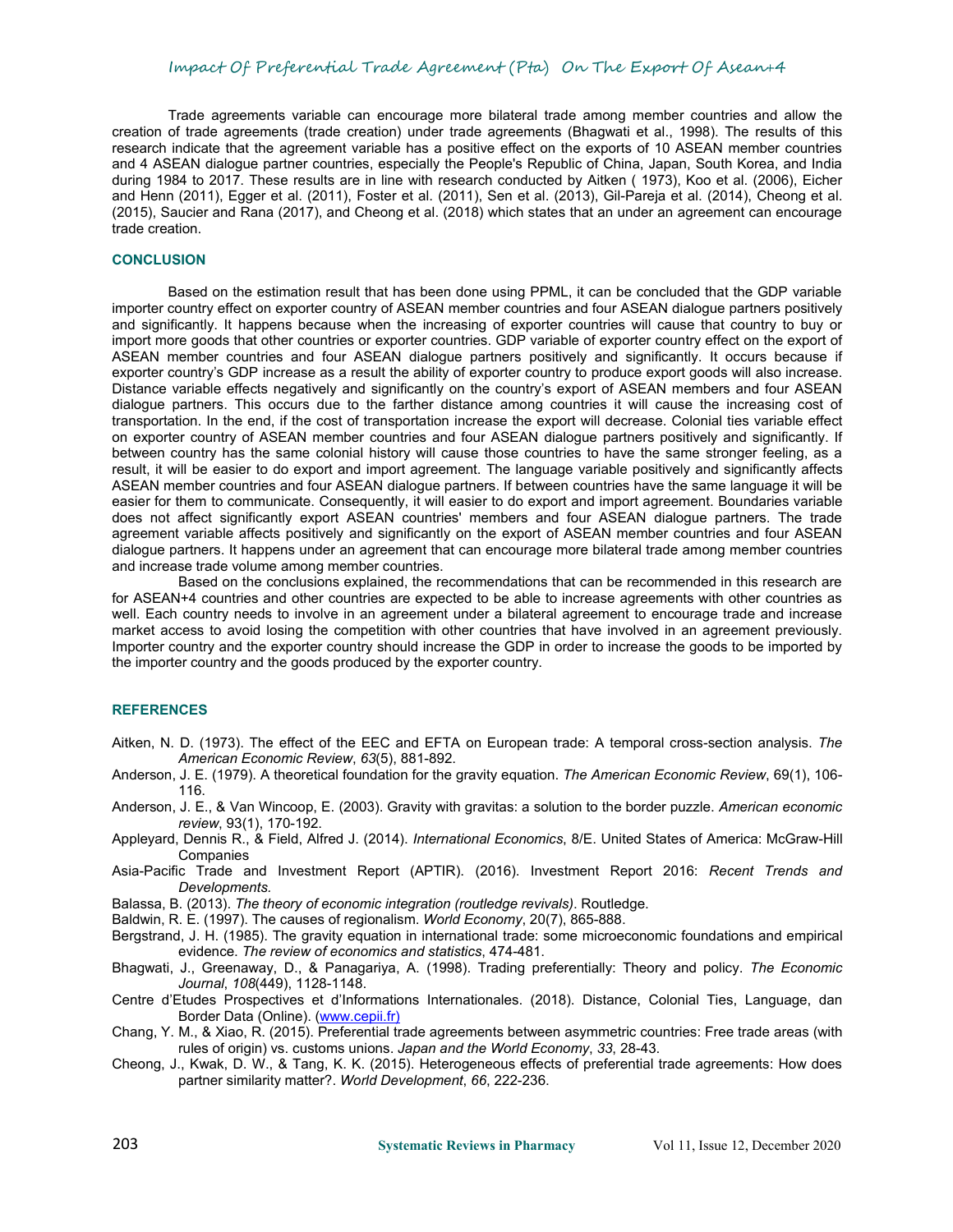Trade agreements variable can encourage more bilateral trade among membercountries and allow the creation of trade agreements (trade creation) under trade agreements (Bhagwati et al., 1998). The results of this research indicate that the agreement variable has a positive effect on the exports of 10 ASEAN member countries and 4 ASEAN dialogue partner countries, especially the People's Republic of China, Japan, South Korea, and India during 1984 to 2017. These results are in line with research conducted by Aitken ( 1973), Koo et al. (2006), Eicher and Henn (2011), Egger et al. (2011), Foster et al. (2011), Sen et al. (2013), Gil-Pareja et al. (2014), Cheong et al. (2015), Saucier and Rana (2017), and Cheong et al. (2018) which states that an under an agreement can encourage trade creation.

## **CONCLUSION**

Based on the estimation result that has been done using PPML, it can be concluded that the GDP variable importer country effect on exporter country of ASEAN member countries and four ASEAN dialogue partners positively and significantly. It happens because when the increasing of exporter countries will cause that country to buy or import more goods that other countries or exporter countries. GDP variable of exporter country effect on the export of ASEAN member countries and four ASEAN dialogue partners positively and significantly. It occurs because if exporter country's GDP increase as a result the ability of exporter country to produce export goods will also increase. Distance variable effects negatively and significantly on the country's export of ASEAN members and four ASEAN dialogue partners. This occurs due to the farther distance among countries it will cause the increasing cost of transportation. In the end, if the cost of transportation increase the export will decrease. Colonial ties variable effect on exporter country of ASEAN member countries and four ASEAN dialogue partners positively and significantly. If between country has the same colonial history will cause those countries to have the same stronger feeling, as a result, it will be easier to do export and import agreement. The language variable positively and significantly affects ASEAN member countries and four ASEAN dialogue partners. If between countries have the same language it will be easier for them to communicate. Consequently, it will easier to do export and import agreement. Boundaries variable does not affect significantly export ASEAN countries' members and four ASEAN dialogue partners. The trade agreement variable affects positively and significantly on the export of ASEAN member countries and four ASEAN dialogue partners. It happens under an agreement that can encourage more bilateral trade among member countries and increase trade volume among member countries.

Based on the conclusions explained, the recommendations that can be recommended in this research are for ASEAN+4 countries and other countries are expected to be able to increase agreements with other countries as well. Each country needs to involve in an agreement under a bilateral agreement to encourage trade and increase market access to avoid losing the competition with other countries that have involved in an agreement previously. Importer country and the exporter country should increase the GDP in order to increase the goods to be imported by the importer country and the goods produced by the exporter country.

## **REFERENCES**

- Aitken, N. D. (1973). The effect of the EEC and EFTA on European trade: A temporal cross-section analysis. *The American Economic Review*, *63*(5), 881-892.
- Anderson, J. E. (1979). A theoretical foundation for the gravity equation. *The American Economic Review*, 69(1), 106- 116.
- Anderson, J. E., & VanWincoop, E. (2003). Gravity with gravitas: a solution to the border puzzle. *American economic review*, 93(1), 170-192.
- Appleyard, Dennis R., & Field, Alfred J. (2014). *International Economics*, 8/E. United States of America: McGraw-Hill Companies
- Asia-Pacific Trade and Investment Report (APTIR). (2016). Investment Report 2016: *Recent Trends and Developments.*
- Balassa, B. (2013). *The theory of economic integration (routledge revivals)*. Routledge.
- Baldwin, R. E. (1997). The causes of regionalism. *World Economy*, 20(7), 865-888.
- Bergstrand, J. H. (1985). The gravity equation in international trade: some microeconomic foundations and empirical evidence. *The review of economics and statistics*, 474-481.
- Bhagwati, J., Greenaway, D., & Panagariya, A. (1998). Trading preferentially: Theory and policy. *The Economic Journal*, *108*(449), 1128-1148.
- Centre d'Etudes Prospectives et d'Informations Internationales. (2018). Distance, Colonial Ties, Language, dan Border Data (Online). ([www.cepii.fr](http://www.cepii.fr))
- Chang, Y. M., & Xiao, R. (2015). Preferential trade agreements between asymmetric countries: Free trade areas (with rules of origin) vs. customs unions. *Japan and the World Economy*, *33*, 28-43.
- Cheong, J., Kwak, D. W., & Tang, K. K. (2015). Heterogeneous effects of preferential trade agreements: How does partner similarity matter?. *World Development*, *66*, 222-236.